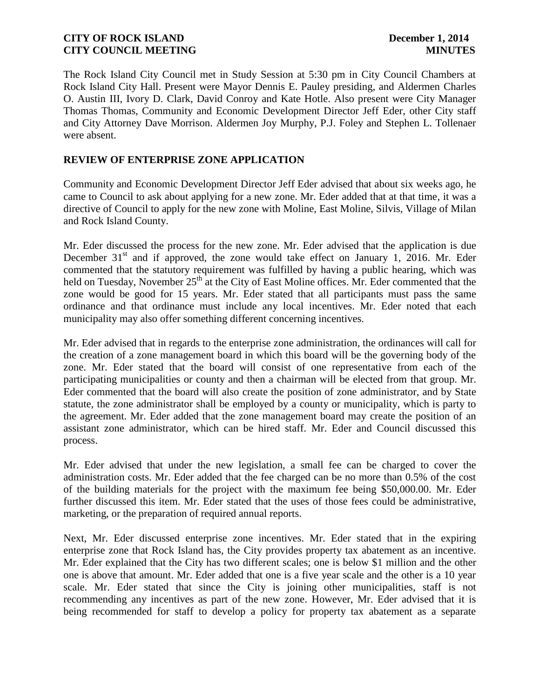The Rock Island City Council met in Study Session at 5:30 pm in City Council Chambers at Rock Island City Hall. Present were Mayor Dennis E. Pauley presiding, and Aldermen Charles O. Austin III, Ivory D. Clark, David Conroy and Kate Hotle. Also present were City Manager Thomas Thomas, Community and Economic Development Director Jeff Eder, other City staff and City Attorney Dave Morrison. Aldermen Joy Murphy, P.J. Foley and Stephen L. Tollenaer were absent.

# **REVIEW OF ENTERPRISE ZONE APPLICATION**

Community and Economic Development Director Jeff Eder advised that about six weeks ago, he came to Council to ask about applying for a new zone. Mr. Eder added that at that time, it was a directive of Council to apply for the new zone with Moline, East Moline, Silvis, Village of Milan and Rock Island County.

Mr. Eder discussed the process for the new zone. Mr. Eder advised that the application is due December  $31<sup>st</sup>$  and if approved, the zone would take effect on January 1, 2016. Mr. Eder commented that the statutory requirement was fulfilled by having a public hearing, which was held on Tuesday, November 25<sup>th</sup> at the City of East Moline offices. Mr. Eder commented that the zone would be good for 15 years. Mr. Eder stated that all participants must pass the same ordinance and that ordinance must include any local incentives. Mr. Eder noted that each municipality may also offer something different concerning incentives.

Mr. Eder advised that in regards to the enterprise zone administration, the ordinances will call for the creation of a zone management board in which this board will be the governing body of the zone. Mr. Eder stated that the board will consist of one representative from each of the participating municipalities or county and then a chairman will be elected from that group. Mr. Eder commented that the board will also create the position of zone administrator, and by State statute, the zone administrator shall be employed by a county or municipality, which is party to the agreement. Mr. Eder added that the zone management board may create the position of an assistant zone administrator, which can be hired staff. Mr. Eder and Council discussed this process.

Mr. Eder advised that under the new legislation, a small fee can be charged to cover the administration costs. Mr. Eder added that the fee charged can be no more than 0.5% of the cost of the building materials for the project with the maximum fee being \$50,000.00. Mr. Eder further discussed this item. Mr. Eder stated that the uses of those fees could be administrative, marketing, or the preparation of required annual reports.

Next, Mr. Eder discussed enterprise zone incentives. Mr. Eder stated that in the expiring enterprise zone that Rock Island has, the City provides property tax abatement as an incentive. Mr. Eder explained that the City has two different scales; one is below \$1 million and the other one is above that amount. Mr. Eder added that one is a five year scale and the other is a 10 year scale. Mr. Eder stated that since the City is joining other municipalities, staff is not recommending any incentives as part of the new zone. However, Mr. Eder advised that it is being recommended for staff to develop a policy for property tax abatement as a separate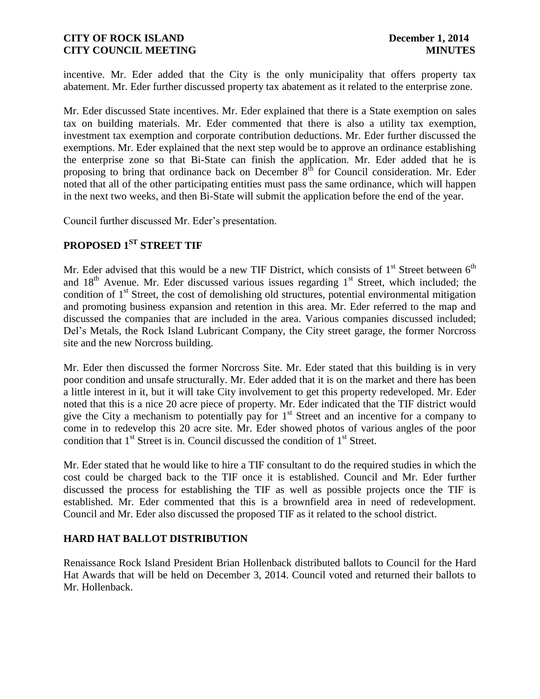incentive. Mr. Eder added that the City is the only municipality that offers property tax abatement. Mr. Eder further discussed property tax abatement as it related to the enterprise zone.

Mr. Eder discussed State incentives. Mr. Eder explained that there is a State exemption on sales tax on building materials. Mr. Eder commented that there is also a utility tax exemption, investment tax exemption and corporate contribution deductions. Mr. Eder further discussed the exemptions. Mr. Eder explained that the next step would be to approve an ordinance establishing the enterprise zone so that Bi-State can finish the application. Mr. Eder added that he is proposing to bring that ordinance back on December  $8<sup>th</sup>$  for Council consideration. Mr. Eder noted that all of the other participating entities must pass the same ordinance, which will happen in the next two weeks, and then Bi-State will submit the application before the end of the year.

Council further discussed Mr. Eder's presentation.

# **PROPOSED 1ST STREET TIF**

Mr. Eder advised that this would be a new TIF District, which consists of  $1<sup>st</sup>$  Street between  $6<sup>th</sup>$ and  $18<sup>th</sup>$  Avenue. Mr. Eder discussed various issues regarding  $1<sup>st</sup>$  Street, which included; the condition of  $1<sup>st</sup>$  Street, the cost of demolishing old structures, potential environmental mitigation and promoting business expansion and retention in this area. Mr. Eder referred to the map and discussed the companies that are included in the area. Various companies discussed included; Del's Metals, the Rock Island Lubricant Company, the City street garage, the former Norcross site and the new Norcross building.

Mr. Eder then discussed the former Norcross Site. Mr. Eder stated that this building is in very poor condition and unsafe structurally. Mr. Eder added that it is on the market and there has been a little interest in it, but it will take City involvement to get this property redeveloped. Mr. Eder noted that this is a nice 20 acre piece of property. Mr. Eder indicated that the TIF district would give the City a mechanism to potentially pay for  $1<sup>st</sup>$  Street and an incentive for a company to come in to redevelop this 20 acre site. Mr. Eder showed photos of various angles of the poor condition that  $1<sup>st</sup>$  Street is in. Council discussed the condition of  $1<sup>st</sup>$  Street.

Mr. Eder stated that he would like to hire a TIF consultant to do the required studies in which the cost could be charged back to the TIF once it is established. Council and Mr. Eder further discussed the process for establishing the TIF as well as possible projects once the TIF is established. Mr. Eder commented that this is a brownfield area in need of redevelopment. Council and Mr. Eder also discussed the proposed TIF as it related to the school district.

# **HARD HAT BALLOT DISTRIBUTION**

Renaissance Rock Island President Brian Hollenback distributed ballots to Council for the Hard Hat Awards that will be held on December 3, 2014. Council voted and returned their ballots to Mr. Hollenback.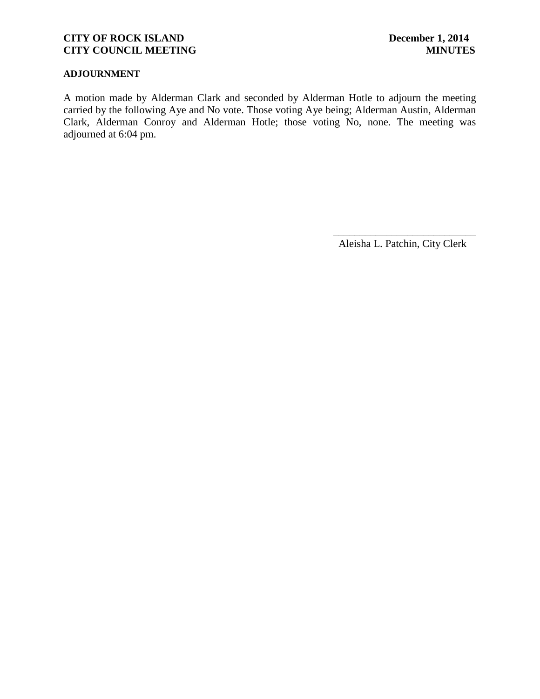#### **ADJOURNMENT**

A motion made by Alderman Clark and seconded by Alderman Hotle to adjourn the meeting carried by the following Aye and No vote. Those voting Aye being; Alderman Austin, Alderman Clark, Alderman Conroy and Alderman Hotle; those voting No, none. The meeting was adjourned at 6:04 pm.

Aleisha L. Patchin, City Clerk

 $\frac{1}{2}$  ,  $\frac{1}{2}$  ,  $\frac{1}{2}$  ,  $\frac{1}{2}$  ,  $\frac{1}{2}$  ,  $\frac{1}{2}$  ,  $\frac{1}{2}$  ,  $\frac{1}{2}$  ,  $\frac{1}{2}$  ,  $\frac{1}{2}$  ,  $\frac{1}{2}$  ,  $\frac{1}{2}$  ,  $\frac{1}{2}$  ,  $\frac{1}{2}$  ,  $\frac{1}{2}$  ,  $\frac{1}{2}$  ,  $\frac{1}{2}$  ,  $\frac{1}{2}$  ,  $\frac{1$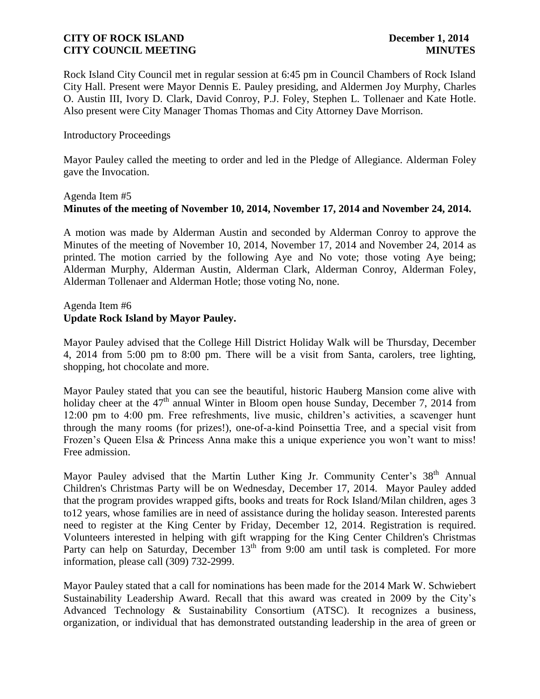Rock Island City Council met in regular session at 6:45 pm in Council Chambers of Rock Island City Hall. Present were Mayor Dennis E. Pauley presiding, and Aldermen Joy Murphy, Charles O. Austin III, Ivory D. Clark, David Conroy, P.J. Foley, Stephen L. Tollenaer and Kate Hotle. Also present were City Manager Thomas Thomas and City Attorney Dave Morrison.

#### Introductory Proceedings

Mayor Pauley called the meeting to order and led in the Pledge of Allegiance. Alderman Foley gave the Invocation.

# Agenda Item #5 **Minutes of the meeting of November 10, 2014, November 17, 2014 and November 24, 2014.**

A motion was made by Alderman Austin and seconded by Alderman Conroy to approve the Minutes of the meeting of November 10, 2014, November 17, 2014 and November 24, 2014 as printed. The motion carried by the following Aye and No vote; those voting Aye being; Alderman Murphy, Alderman Austin, Alderman Clark, Alderman Conroy, Alderman Foley, Alderman Tollenaer and Alderman Hotle; those voting No, none.

### Agenda Item #6 **Update Rock Island by Mayor Pauley.**

Mayor Pauley advised that the College Hill District Holiday Walk will be Thursday, December 4, 2014 from 5:00 pm to 8:00 pm. There will be a visit from Santa, carolers, tree lighting, shopping, hot chocolate and more.

Mayor Pauley stated that you can see the beautiful, historic Hauberg Mansion come alive with holiday cheer at the 47<sup>th</sup> annual Winter in Bloom open house Sunday, December 7, 2014 from 12:00 pm to 4:00 pm. Free refreshments, live music, children's activities, a scavenger hunt through the many rooms (for prizes!), one-of-a-kind Poinsettia Tree, and a special visit from Frozen's Queen Elsa & Princess Anna make this a unique experience you won't want to miss! Free admission.

Mayor Pauley advised that the Martin Luther King Jr. Community Center's 38<sup>th</sup> Annual Children's Christmas Party will be on Wednesday, December 17, 2014. Mayor Pauley added that the program provides wrapped gifts, books and treats for Rock Island/Milan children, ages 3 to12 years, whose families are in need of assistance during the holiday season. Interested parents need to register at the King Center by Friday, December 12, 2014. Registration is required. Volunteers interested in helping with gift wrapping for the King Center Children's Christmas Party can help on Saturday, December 13<sup>th</sup> from 9:00 am until task is completed. For more information, please call (309) 732-2999.

Mayor Pauley stated that a call for nominations has been made for the 2014 Mark W. Schwiebert Sustainability Leadership Award. Recall that this award was created in 2009 by the City's Advanced Technology & Sustainability Consortium (ATSC). It recognizes a business, organization, or individual that has demonstrated outstanding leadership in the area of green or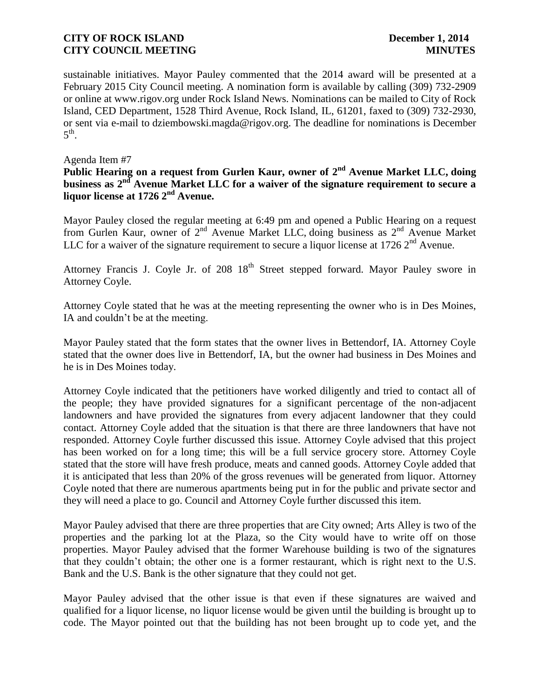sustainable initiatives. Mayor Pauley commented that the 2014 award will be presented at a February 2015 City Council meeting. A nomination form is available by calling (309) 732-2909 or online at www.rigov.org under Rock Island News. Nominations can be mailed to City of Rock Island, CED Department, 1528 Third Avenue, Rock Island, IL, 61201, faxed to (309) 732-2930, or sent via e-mail to dziembowski.magda@rigov.org. The deadline for nominations is December  $5^{\text{th}}$ .

#### Agenda Item #7

**Public Hearing on a request from Gurlen Kaur, owner of 2nd Avenue Market LLC, doing business as 2nd Avenue Market LLC for a waiver of the signature requirement to secure a liquor license at 1726 2nd Avenue.**

Mayor Pauley closed the regular meeting at 6:49 pm and opened a Public Hearing on a request from Gurlen Kaur, owner of 2<sup>nd</sup> Avenue Market LLC, doing business as 2<sup>nd</sup> Avenue Market LLC for a waiver of the signature requirement to secure a liquor license at 1726  $2<sup>nd</sup>$  Avenue.

Attorney Francis J. Coyle Jr. of  $208 \, 18^{th}$  Street stepped forward. Mayor Pauley swore in Attorney Coyle.

Attorney Coyle stated that he was at the meeting representing the owner who is in Des Moines, IA and couldn't be at the meeting.

Mayor Pauley stated that the form states that the owner lives in Bettendorf, IA. Attorney Coyle stated that the owner does live in Bettendorf, IA, but the owner had business in Des Moines and he is in Des Moines today.

Attorney Coyle indicated that the petitioners have worked diligently and tried to contact all of the people; they have provided signatures for a significant percentage of the non-adjacent landowners and have provided the signatures from every adjacent landowner that they could contact. Attorney Coyle added that the situation is that there are three landowners that have not responded. Attorney Coyle further discussed this issue. Attorney Coyle advised that this project has been worked on for a long time; this will be a full service grocery store. Attorney Coyle stated that the store will have fresh produce, meats and canned goods. Attorney Coyle added that it is anticipated that less than 20% of the gross revenues will be generated from liquor. Attorney Coyle noted that there are numerous apartments being put in for the public and private sector and they will need a place to go. Council and Attorney Coyle further discussed this item.

Mayor Pauley advised that there are three properties that are City owned; Arts Alley is two of the properties and the parking lot at the Plaza, so the City would have to write off on those properties. Mayor Pauley advised that the former Warehouse building is two of the signatures that they couldn't obtain; the other one is a former restaurant, which is right next to the U.S. Bank and the U.S. Bank is the other signature that they could not get.

Mayor Pauley advised that the other issue is that even if these signatures are waived and qualified for a liquor license, no liquor license would be given until the building is brought up to code. The Mayor pointed out that the building has not been brought up to code yet, and the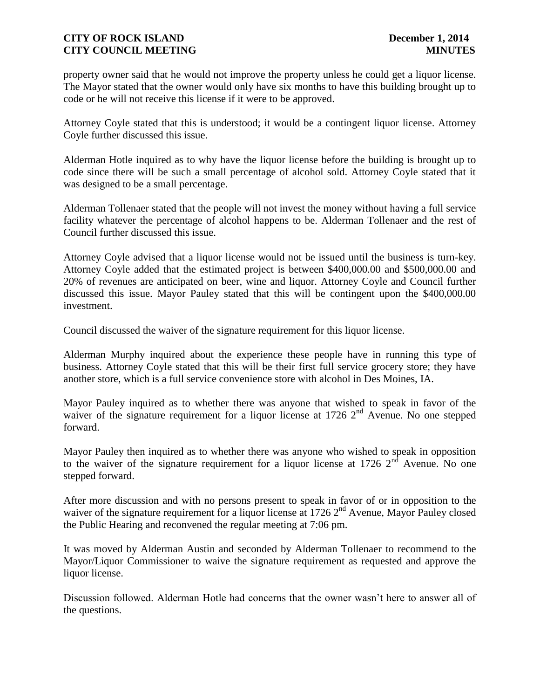property owner said that he would not improve the property unless he could get a liquor license. The Mayor stated that the owner would only have six months to have this building brought up to code or he will not receive this license if it were to be approved.

Attorney Coyle stated that this is understood; it would be a contingent liquor license. Attorney Coyle further discussed this issue.

Alderman Hotle inquired as to why have the liquor license before the building is brought up to code since there will be such a small percentage of alcohol sold. Attorney Coyle stated that it was designed to be a small percentage.

Alderman Tollenaer stated that the people will not invest the money without having a full service facility whatever the percentage of alcohol happens to be. Alderman Tollenaer and the rest of Council further discussed this issue.

Attorney Coyle advised that a liquor license would not be issued until the business is turn-key. Attorney Coyle added that the estimated project is between \$400,000.00 and \$500,000.00 and 20% of revenues are anticipated on beer, wine and liquor. Attorney Coyle and Council further discussed this issue. Mayor Pauley stated that this will be contingent upon the \$400,000.00 investment.

Council discussed the waiver of the signature requirement for this liquor license.

Alderman Murphy inquired about the experience these people have in running this type of business. Attorney Coyle stated that this will be their first full service grocery store; they have another store, which is a full service convenience store with alcohol in Des Moines, IA.

Mayor Pauley inquired as to whether there was anyone that wished to speak in favor of the waiver of the signature requirement for a liquor license at  $1726$   $2<sup>nd</sup>$  Avenue. No one stepped forward.

Mayor Pauley then inquired as to whether there was anyone who wished to speak in opposition to the waiver of the signature requirement for a liquor license at 1726  $2<sup>nd</sup>$  Avenue. No one stepped forward.

After more discussion and with no persons present to speak in favor of or in opposition to the waiver of the signature requirement for a liquor license at 1726 2<sup>nd</sup> Avenue, Mayor Pauley closed the Public Hearing and reconvened the regular meeting at 7:06 pm.

It was moved by Alderman Austin and seconded by Alderman Tollenaer to recommend to the Mayor/Liquor Commissioner to waive the signature requirement as requested and approve the liquor license.

Discussion followed. Alderman Hotle had concerns that the owner wasn't here to answer all of the questions.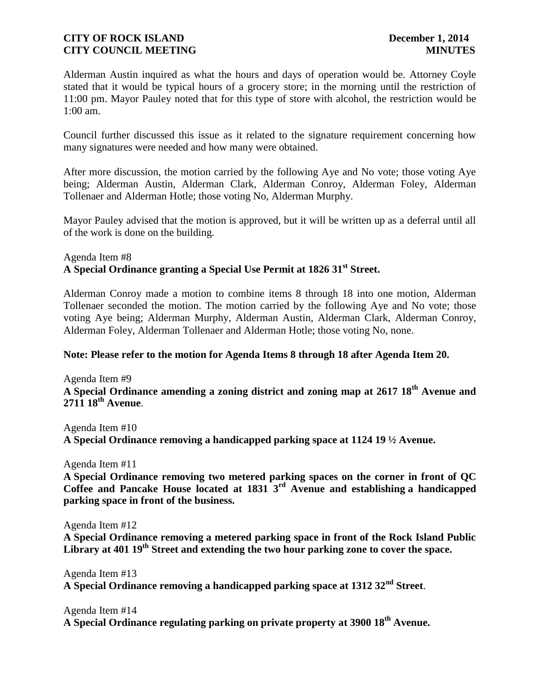Alderman Austin inquired as what the hours and days of operation would be. Attorney Coyle stated that it would be typical hours of a grocery store; in the morning until the restriction of 11:00 pm. Mayor Pauley noted that for this type of store with alcohol, the restriction would be 1:00 am.

Council further discussed this issue as it related to the signature requirement concerning how many signatures were needed and how many were obtained.

After more discussion, the motion carried by the following Aye and No vote; those voting Aye being; Alderman Austin, Alderman Clark, Alderman Conroy, Alderman Foley, Alderman Tollenaer and Alderman Hotle; those voting No, Alderman Murphy.

Mayor Pauley advised that the motion is approved, but it will be written up as a deferral until all of the work is done on the building.

### Agenda Item #8 **A Special Ordinance granting a Special Use Permit at 1826 31st Street.**

Alderman Conroy made a motion to combine items 8 through 18 into one motion, Alderman Tollenaer seconded the motion. The motion carried by the following Aye and No vote; those voting Aye being; Alderman Murphy, Alderman Austin, Alderman Clark, Alderman Conroy, Alderman Foley, Alderman Tollenaer and Alderman Hotle; those voting No, none.

#### **Note: Please refer to the motion for Agenda Items 8 through 18 after Agenda Item 20.**

Agenda Item #9 **A Special Ordinance amending a zoning district and zoning map at 2617 18th Avenue and 2711 18th Avenue**.

Agenda Item #10 **A Special Ordinance removing a handicapped parking space at 1124 19 ½ Avenue.** 

Agenda Item #11

**A Special Ordinance removing two metered parking spaces on the corner in front of QC Coffee and Pancake House located at 1831 3rd Avenue and establishing a handicapped parking space in front of the business.**

Agenda Item #12

**A Special Ordinance removing a metered parking space in front of the Rock Island Public Library at 401 19th Street and extending the two hour parking zone to cover the space.**

Agenda Item #13 **A Special Ordinance removing a handicapped parking space at 1312 32nd Street**.

Agenda Item #14 **A Special Ordinance regulating parking on private property at 3900 18th Avenue.**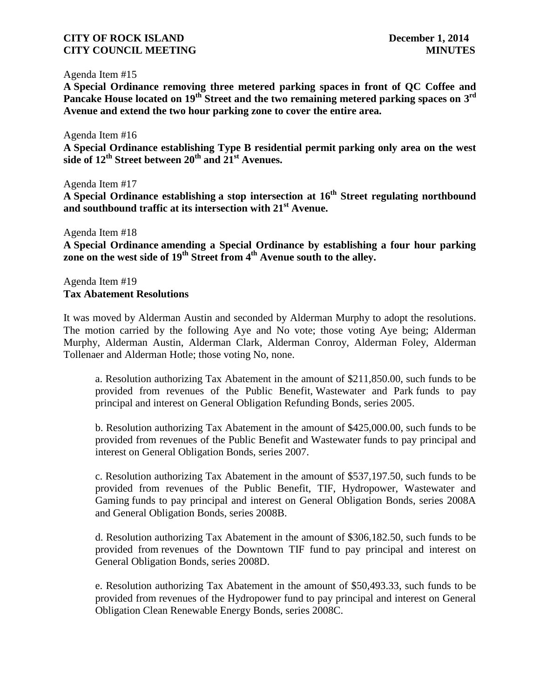#### Agenda Item #15

**A Special Ordinance removing three metered parking spaces in front of QC Coffee and Pancake House located on 19th Street and the two remaining metered parking spaces on 3 rd Avenue and extend the two hour parking zone to cover the entire area.**

Agenda Item #16 **A Special Ordinance establishing Type B residential permit parking only area on the west side of 12th Street between 20th and 21st Avenues.**

Agenda Item #17 **A Special Ordinance establishing a stop intersection at 16th Street regulating northbound and southbound traffic at its intersection with 21st Avenue.**

Agenda Item #18

**A Special Ordinance amending a Special Ordinance by establishing a four hour parking zone on the west side of 19th Street from 4 th Avenue south to the alley.**

Agenda Item #19 **Tax Abatement Resolutions**

It was moved by Alderman Austin and seconded by Alderman Murphy to adopt the resolutions. The motion carried by the following Aye and No vote; those voting Aye being; Alderman Murphy, Alderman Austin, Alderman Clark, Alderman Conroy, Alderman Foley, Alderman Tollenaer and Alderman Hotle; those voting No, none.

a. Resolution authorizing Tax Abatement in the amount of \$211,850.00, such funds to be provided from revenues of the Public Benefit, Wastewater and Park funds to pay principal and interest on General Obligation Refunding Bonds, series 2005.

b. Resolution authorizing Tax Abatement in the amount of \$425,000.00, such funds to be provided from revenues of the Public Benefit and Wastewater funds to pay principal and interest on General Obligation Bonds, series 2007.

c. Resolution authorizing Tax Abatement in the amount of \$537,197.50, such funds to be provided from revenues of the Public Benefit, TIF, Hydropower, Wastewater and Gaming funds to pay principal and interest on General Obligation Bonds, series 2008A and General Obligation Bonds, series 2008B.

d. Resolution authorizing Tax Abatement in the amount of \$306,182.50, such funds to be provided from revenues of the Downtown TIF fund to pay principal and interest on General Obligation Bonds, series 2008D.

e. Resolution authorizing Tax Abatement in the amount of \$50,493.33, such funds to be provided from revenues of the Hydropower fund to pay principal and interest on General Obligation Clean Renewable Energy Bonds, series 2008C.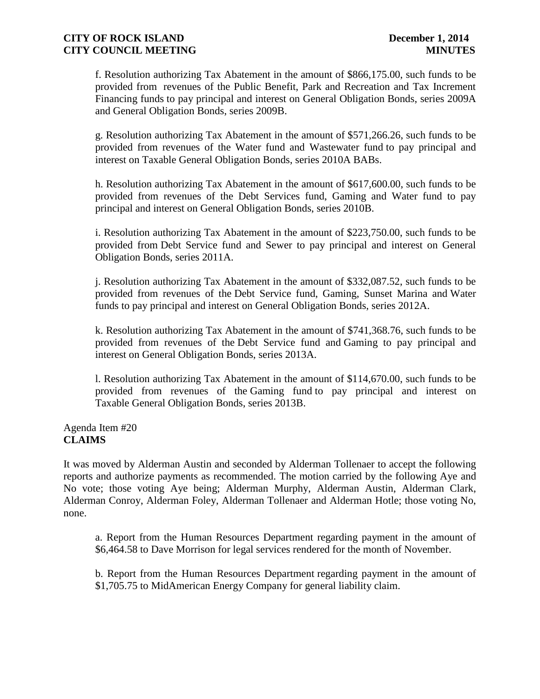f. Resolution authorizing Tax Abatement in the amount of \$866,175.00, such funds to be provided from revenues of the Public Benefit, Park and Recreation and Tax Increment Financing funds to pay principal and interest on General Obligation Bonds, series 2009A and General Obligation Bonds, series 2009B.

g. Resolution authorizing Tax Abatement in the amount of \$571,266.26, such funds to be provided from revenues of the Water fund and Wastewater fund to pay principal and interest on Taxable General Obligation Bonds, series 2010A BABs.

h. Resolution authorizing Tax Abatement in the amount of \$617,600.00, such funds to be provided from revenues of the Debt Services fund, Gaming and Water fund to pay principal and interest on General Obligation Bonds, series 2010B.

i. Resolution authorizing Tax Abatement in the amount of \$223,750.00, such funds to be provided from Debt Service fund and Sewer to pay principal and interest on General Obligation Bonds, series 2011A.

j. Resolution authorizing Tax Abatement in the amount of \$332,087.52, such funds to be provided from revenues of the Debt Service fund, Gaming, Sunset Marina and Water funds to pay principal and interest on General Obligation Bonds, series 2012A.

k. Resolution authorizing Tax Abatement in the amount of \$741,368.76, such funds to be provided from revenues of the Debt Service fund and Gaming to pay principal and interest on General Obligation Bonds, series 2013A.

l. Resolution authorizing Tax Abatement in the amount of \$114,670.00, such funds to be provided from revenues of the Gaming fund to pay principal and interest on Taxable General Obligation Bonds, series 2013B.

Agenda Item #20 **CLAIMS**

It was moved by Alderman Austin and seconded by Alderman Tollenaer to accept the following reports and authorize payments as recommended. The motion carried by the following Aye and No vote; those voting Aye being; Alderman Murphy, Alderman Austin, Alderman Clark, Alderman Conroy, Alderman Foley, Alderman Tollenaer and Alderman Hotle; those voting No, none.

a. Report from the Human Resources Department regarding payment in the amount of \$6,464.58 to Dave Morrison for legal services rendered for the month of November.

b. Report from the Human Resources Department regarding payment in the amount of \$1,705.75 to MidAmerican Energy Company for general liability claim.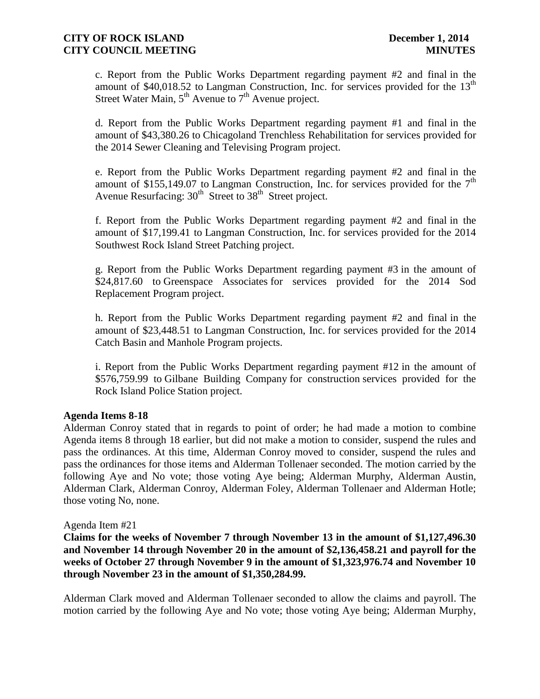c. Report from the Public Works Department regarding payment #2 and final in the amount of  $$40,018.52$  to Langman Construction, Inc. for services provided for the 13<sup>th</sup> Street Water Main,  $5<sup>th</sup>$  Avenue to  $7<sup>th</sup>$  Avenue project.

d. Report from the Public Works Department regarding payment #1 and final in the amount of \$43,380.26 to Chicagoland Trenchless Rehabilitation for services provided for the 2014 Sewer Cleaning and Televising Program project.

e. Report from the Public Works Department regarding payment #2 and final in the amount of \$155,149.07 to Langman Construction, Inc. for services provided for the  $7<sup>th</sup>$ Avenue Resurfacing:  $30<sup>th</sup>$  Street to  $38<sup>th</sup>$  Street project.

f. Report from the Public Works Department regarding payment #2 and final in the amount of \$17,199.41 to Langman Construction, Inc. for services provided for the 2014 Southwest Rock Island Street Patching project.

g. Report from the Public Works Department regarding payment #3 in the amount of \$24,817.60 to Greenspace Associates for services provided for the 2014 Sod Replacement Program project.

h. Report from the Public Works Department regarding payment #2 and final in the amount of \$23,448.51 to Langman Construction, Inc. for services provided for the 2014 Catch Basin and Manhole Program projects.

i. Report from the Public Works Department regarding payment #12 in the amount of \$576,759.99 to Gilbane Building Company for construction services provided for the Rock Island Police Station project.

#### **Agenda Items 8-18**

Alderman Conroy stated that in regards to point of order; he had made a motion to combine Agenda items 8 through 18 earlier, but did not make a motion to consider, suspend the rules and pass the ordinances. At this time, Alderman Conroy moved to consider, suspend the rules and pass the ordinances for those items and Alderman Tollenaer seconded. The motion carried by the following Aye and No vote; those voting Aye being; Alderman Murphy, Alderman Austin, Alderman Clark, Alderman Conroy, Alderman Foley, Alderman Tollenaer and Alderman Hotle; those voting No, none.

#### Agenda Item #21

**Claims for the weeks of November 7 through November 13 in the amount of \$1,127,496.30 and November 14 through November 20 in the amount of \$2,136,458.21 and payroll for the weeks of October 27 through November 9 in the amount of \$1,323,976.74 and November 10 through November 23 in the amount of \$1,350,284.99.**

Alderman Clark moved and Alderman Tollenaer seconded to allow the claims and payroll. The motion carried by the following Aye and No vote; those voting Aye being; Alderman Murphy,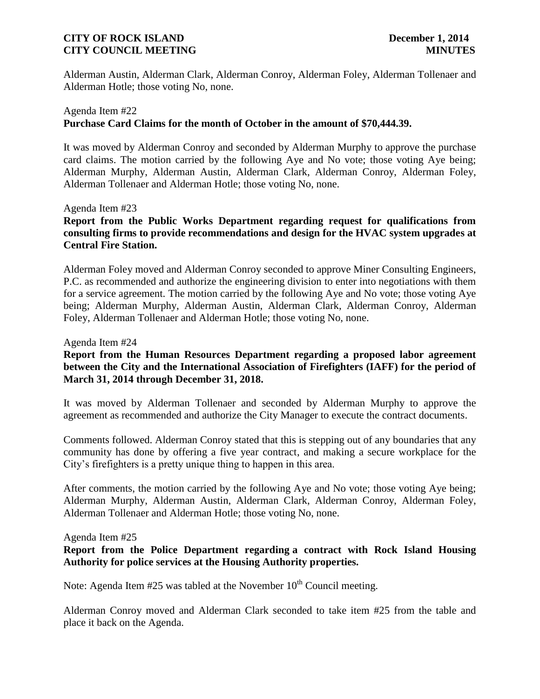Alderman Austin, Alderman Clark, Alderman Conroy, Alderman Foley, Alderman Tollenaer and Alderman Hotle; those voting No, none.

# Agenda Item #22 **Purchase Card Claims for the month of October in the amount of \$70,444.39.**

It was moved by Alderman Conroy and seconded by Alderman Murphy to approve the purchase card claims. The motion carried by the following Aye and No vote; those voting Aye being; Alderman Murphy, Alderman Austin, Alderman Clark, Alderman Conroy, Alderman Foley, Alderman Tollenaer and Alderman Hotle; those voting No, none.

#### Agenda Item #23

# **Report from the Public Works Department regarding request for qualifications from consulting firms to provide recommendations and design for the HVAC system upgrades at Central Fire Station.**

Alderman Foley moved and Alderman Conroy seconded to approve Miner Consulting Engineers, P.C. as recommended and authorize the engineering division to enter into negotiations with them for a service agreement. The motion carried by the following Aye and No vote; those voting Aye being; Alderman Murphy, Alderman Austin, Alderman Clark, Alderman Conroy, Alderman Foley, Alderman Tollenaer and Alderman Hotle; those voting No, none.

#### Agenda Item #24

# **Report from the Human Resources Department regarding a proposed labor agreement between the City and the International Association of Firefighters (IAFF) for the period of March 31, 2014 through December 31, 2018.**

It was moved by Alderman Tollenaer and seconded by Alderman Murphy to approve the agreement as recommended and authorize the City Manager to execute the contract documents.

Comments followed. Alderman Conroy stated that this is stepping out of any boundaries that any community has done by offering a five year contract, and making a secure workplace for the City's firefighters is a pretty unique thing to happen in this area.

After comments, the motion carried by the following Aye and No vote; those voting Aye being; Alderman Murphy, Alderman Austin, Alderman Clark, Alderman Conroy, Alderman Foley, Alderman Tollenaer and Alderman Hotle; those voting No, none.

#### Agenda Item #25

### **Report from the Police Department regarding a contract with Rock Island Housing Authority for police services at the Housing Authority properties.**

Note: Agenda Item  $#25$  was tabled at the November  $10<sup>th</sup>$  Council meeting.

Alderman Conroy moved and Alderman Clark seconded to take item #25 from the table and place it back on the Agenda.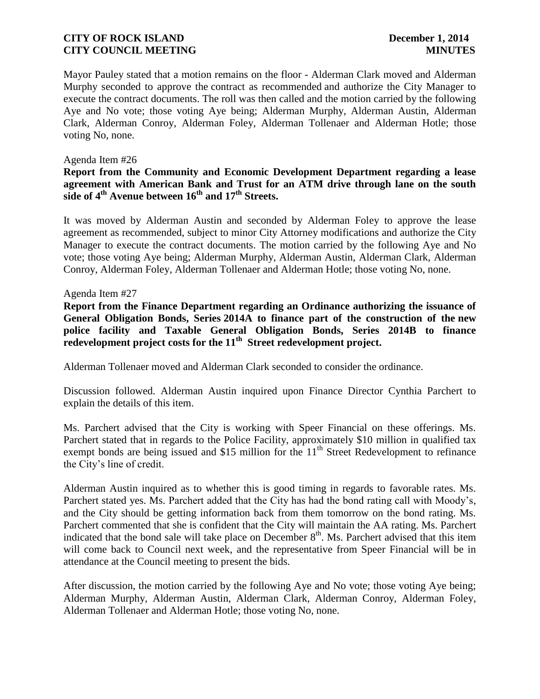Mayor Pauley stated that a motion remains on the floor - Alderman Clark moved and Alderman Murphy seconded to approve the contract as recommended and authorize the City Manager to execute the contract documents. The roll was then called and the motion carried by the following Aye and No vote; those voting Aye being; Alderman Murphy, Alderman Austin, Alderman Clark, Alderman Conroy, Alderman Foley, Alderman Tollenaer and Alderman Hotle; those voting No, none.

#### Agenda Item #26

### **Report from the Community and Economic Development Department regarding a lease agreement with American Bank and Trust for an ATM drive through lane on the south side of 4th Avenue between 16th and 17th Streets.**

It was moved by Alderman Austin and seconded by Alderman Foley to approve the lease agreement as recommended, subject to minor City Attorney modifications and authorize the City Manager to execute the contract documents. The motion carried by the following Aye and No vote; those voting Aye being; Alderman Murphy, Alderman Austin, Alderman Clark, Alderman Conroy, Alderman Foley, Alderman Tollenaer and Alderman Hotle; those voting No, none.

#### Agenda Item #27

**Report from the Finance Department regarding an Ordinance authorizing the issuance of General Obligation Bonds, Series 2014A to finance part of the construction of the new police facility and Taxable General Obligation Bonds, Series 2014B to finance redevelopment project costs for the 11th Street redevelopment project.**

Alderman Tollenaer moved and Alderman Clark seconded to consider the ordinance.

Discussion followed. Alderman Austin inquired upon Finance Director Cynthia Parchert to explain the details of this item.

Ms. Parchert advised that the City is working with Speer Financial on these offerings. Ms. Parchert stated that in regards to the Police Facility, approximately \$10 million in qualified tax exempt bonds are being issued and \$15 million for the  $11<sup>th</sup>$  Street Redevelopment to refinance the City's line of credit.

Alderman Austin inquired as to whether this is good timing in regards to favorable rates. Ms. Parchert stated yes. Ms. Parchert added that the City has had the bond rating call with Moody's, and the City should be getting information back from them tomorrow on the bond rating. Ms. Parchert commented that she is confident that the City will maintain the AA rating. Ms. Parchert indicated that the bond sale will take place on December  $8<sup>th</sup>$ . Ms. Parchert advised that this item will come back to Council next week, and the representative from Speer Financial will be in attendance at the Council meeting to present the bids.

After discussion, the motion carried by the following Aye and No vote; those voting Aye being; Alderman Murphy, Alderman Austin, Alderman Clark, Alderman Conroy, Alderman Foley, Alderman Tollenaer and Alderman Hotle; those voting No, none.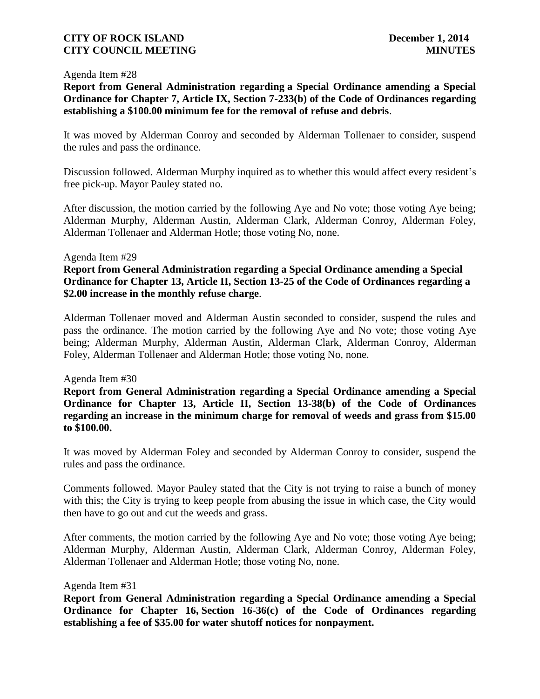#### Agenda Item #28

**Report from General Administration regarding a Special Ordinance amending a Special Ordinance for Chapter 7, Article IX, Section 7-233(b) of the Code of Ordinances regarding establishing a \$100.00 minimum fee for the removal of refuse and debris**.

It was moved by Alderman Conroy and seconded by Alderman Tollenaer to consider, suspend the rules and pass the ordinance.

Discussion followed. Alderman Murphy inquired as to whether this would affect every resident's free pick-up. Mayor Pauley stated no.

After discussion, the motion carried by the following Aye and No vote; those voting Aye being; Alderman Murphy, Alderman Austin, Alderman Clark, Alderman Conroy, Alderman Foley, Alderman Tollenaer and Alderman Hotle; those voting No, none.

#### Agenda Item #29

**Report from General Administration regarding a Special Ordinance amending a Special Ordinance for Chapter 13, Article II, Section 13-25 of the Code of Ordinances regarding a \$2.00 increase in the monthly refuse charge**.

Alderman Tollenaer moved and Alderman Austin seconded to consider, suspend the rules and pass the ordinance. The motion carried by the following Aye and No vote; those voting Aye being; Alderman Murphy, Alderman Austin, Alderman Clark, Alderman Conroy, Alderman Foley, Alderman Tollenaer and Alderman Hotle; those voting No, none.

#### Agenda Item #30

**Report from General Administration regarding a Special Ordinance amending a Special Ordinance for Chapter 13, Article II, Section 13-38(b) of the Code of Ordinances regarding an increase in the minimum charge for removal of weeds and grass from \$15.00 to \$100.00.**

It was moved by Alderman Foley and seconded by Alderman Conroy to consider, suspend the rules and pass the ordinance.

Comments followed. Mayor Pauley stated that the City is not trying to raise a bunch of money with this; the City is trying to keep people from abusing the issue in which case, the City would then have to go out and cut the weeds and grass.

After comments, the motion carried by the following Aye and No vote; those voting Aye being; Alderman Murphy, Alderman Austin, Alderman Clark, Alderman Conroy, Alderman Foley, Alderman Tollenaer and Alderman Hotle; those voting No, none.

#### Agenda Item #31

**Report from General Administration regarding a Special Ordinance amending a Special Ordinance for Chapter 16, Section 16-36(c) of the Code of Ordinances regarding establishing a fee of \$35.00 for water shutoff notices for nonpayment.**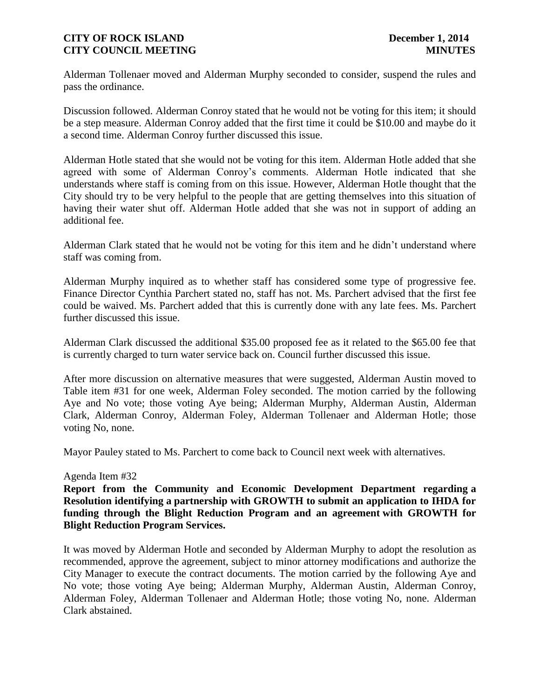Alderman Tollenaer moved and Alderman Murphy seconded to consider, suspend the rules and pass the ordinance.

Discussion followed. Alderman Conroy stated that he would not be voting for this item; it should be a step measure. Alderman Conroy added that the first time it could be \$10.00 and maybe do it a second time. Alderman Conroy further discussed this issue.

Alderman Hotle stated that she would not be voting for this item. Alderman Hotle added that she agreed with some of Alderman Conroy's comments. Alderman Hotle indicated that she understands where staff is coming from on this issue. However, Alderman Hotle thought that the City should try to be very helpful to the people that are getting themselves into this situation of having their water shut off. Alderman Hotle added that she was not in support of adding an additional fee.

Alderman Clark stated that he would not be voting for this item and he didn't understand where staff was coming from.

Alderman Murphy inquired as to whether staff has considered some type of progressive fee. Finance Director Cynthia Parchert stated no, staff has not. Ms. Parchert advised that the first fee could be waived. Ms. Parchert added that this is currently done with any late fees. Ms. Parchert further discussed this issue.

Alderman Clark discussed the additional \$35.00 proposed fee as it related to the \$65.00 fee that is currently charged to turn water service back on. Council further discussed this issue.

After more discussion on alternative measures that were suggested, Alderman Austin moved to Table item #31 for one week, Alderman Foley seconded. The motion carried by the following Aye and No vote; those voting Aye being; Alderman Murphy, Alderman Austin, Alderman Clark, Alderman Conroy, Alderman Foley, Alderman Tollenaer and Alderman Hotle; those voting No, none.

Mayor Pauley stated to Ms. Parchert to come back to Council next week with alternatives.

#### Agenda Item #32

**Report from the Community and Economic Development Department regarding a Resolution identifying a partnership with GROWTH to submit an application to IHDA for funding through the Blight Reduction Program and an agreement with GROWTH for Blight Reduction Program Services.**

It was moved by Alderman Hotle and seconded by Alderman Murphy to adopt the resolution as recommended, approve the agreement, subject to minor attorney modifications and authorize the City Manager to execute the contract documents. The motion carried by the following Aye and No vote; those voting Aye being; Alderman Murphy, Alderman Austin, Alderman Conroy, Alderman Foley, Alderman Tollenaer and Alderman Hotle; those voting No, none. Alderman Clark abstained.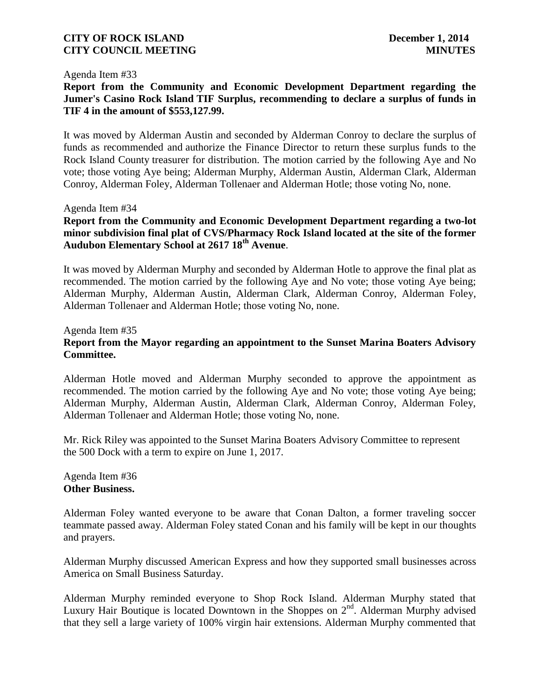#### Agenda Item #33

# **Report from the Community and Economic Development Department regarding the Jumer's Casino Rock Island TIF Surplus, recommending to declare a surplus of funds in TIF 4 in the amount of \$553,127.99.**

It was moved by Alderman Austin and seconded by Alderman Conroy to declare the surplus of funds as recommended and authorize the Finance Director to return these surplus funds to the Rock Island County treasurer for distribution. The motion carried by the following Aye and No vote; those voting Aye being; Alderman Murphy, Alderman Austin, Alderman Clark, Alderman Conroy, Alderman Foley, Alderman Tollenaer and Alderman Hotle; those voting No, none.

#### Agenda Item #34

### **Report from the Community and Economic Development Department regarding a two-lot minor subdivision final plat of CVS/Pharmacy Rock Island located at the site of the former Audubon Elementary School at 2617 18th Avenue**.

It was moved by Alderman Murphy and seconded by Alderman Hotle to approve the final plat as recommended. The motion carried by the following Aye and No vote; those voting Aye being; Alderman Murphy, Alderman Austin, Alderman Clark, Alderman Conroy, Alderman Foley, Alderman Tollenaer and Alderman Hotle; those voting No, none.

#### Agenda Item #35

# **Report from the Mayor regarding an appointment to the Sunset Marina Boaters Advisory Committee.**

Alderman Hotle moved and Alderman Murphy seconded to approve the appointment as recommended. The motion carried by the following Aye and No vote; those voting Aye being; Alderman Murphy, Alderman Austin, Alderman Clark, Alderman Conroy, Alderman Foley, Alderman Tollenaer and Alderman Hotle; those voting No, none.

Mr. Rick Riley was appointed to the Sunset Marina Boaters Advisory Committee to represent the 500 Dock with a term to expire on June 1, 2017.

#### Agenda Item #36 **Other Business.**

Alderman Foley wanted everyone to be aware that Conan Dalton, a former traveling soccer teammate passed away. Alderman Foley stated Conan and his family will be kept in our thoughts and prayers.

Alderman Murphy discussed American Express and how they supported small businesses across America on Small Business Saturday.

Alderman Murphy reminded everyone to Shop Rock Island. Alderman Murphy stated that Luxury Hair Boutique is located Downtown in the Shoppes on  $2^{nd}$ . Alderman Murphy advised that they sell a large variety of 100% virgin hair extensions. Alderman Murphy commented that